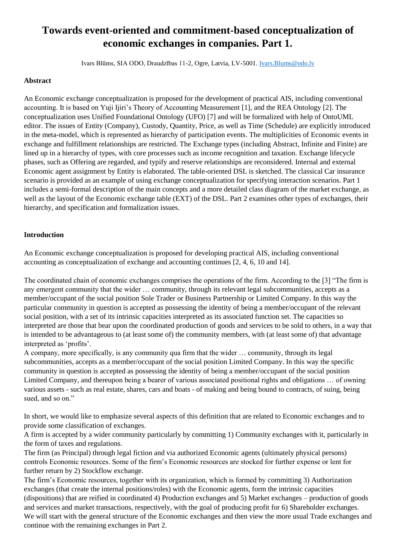# **Towards event-oriented and commitment-based conceptualization of economic exchanges in companies. Part 1.**

Ivars Blūms, SIA ODO, Draudzības 11-2, Ogre, Latvia, LV-5001. [Ivars.Blums@odo.lv](mailto:Ivars.Blums@odo.lv)

# **Abstract**

An Economic exchange conceptualization is proposed for the development of practical AIS, including conventional accounting. It is based on Yuji Ijiri's Theory of Accounting Measurement [1], and the REA Ontology [2]. The conceptualization uses Unified Foundational Ontology (UFO) [7] and will be formalized with help of OntoUML editor. The issues of Entity (Company), Custody, Quantity, Price, as well as Time (Schedule) are explicitly introduced in the meta-model, which is represented as hierarchy of participation events. The multiplicities of Economic events in exchange and fulfillment relationships are restricted. The Exchange types (including Abstract, Infinite and Finite) are lined up in a hierarchy of types, with core processes such as income recognition and taxation. Exchange lifecycle phases, such as Offering are regarded, and typify and reserve relationships are reconsidered. Internal and external Economic agent assignment by Entity is elaborated. The table-oriented DSL is sketched. The classical Car insurance scenario is provided as an example of using exchange conceptualization for specifying interaction scenarios. Part 1 includes a semi-formal description of the main concepts and a more detailed class diagram of the market exchange, as well as the layout of the Economic exchange table (EXT) of the DSL. Part 2 examines other types of exchanges, their hierarchy, and specification and formalization issues.

# **Introduction**

An Economic exchange conceptualization is proposed for developing practical AIS, including conventional accounting as conceptualization of exchange and accounting continues [2, 4, 6, 10 and 14].

The coordinated chain of economic exchanges comprises the operations of the firm. According to the [3] "The firm is any emergent community that the wider … community, through its relevant legal subcommunities, accepts as a member/occupant of the social position Sole Trader or Business Partnership or Limited Company. In this way the particular community in question is accepted as possessing the identity of being a member/occupant of the relevant social position, with a set of its intrinsic capacities interpreted as its associated function set. The capacities so interpreted are those that bear upon the coordinated production of goods and services to be sold to others, in a way that is intended to be advantageous to (at least some of) the community members, with (at least some of) that advantage interpreted as 'profits'.

A company, more specifically, is any community qua firm that the wider … community, through its legal subcommunities, accepts as a member/occupant of the social position Limited Company. In this way the specific community in question is accepted as possessing the identity of being a member/occupant of the social position Limited Company, and thereupon being a bearer of various associated positional rights and obligations … of owning various assets - such as real estate, shares, cars and boats - of making and being bound to contracts, of suing, being sued, and so on."

In short, we would like to emphasize several aspects of this definition that are related to Economic exchanges and to provide some classification of exchanges.

A firm is accepted by a wider community particularly by committing 1) Community exchanges with it, particularly in the form of taxes and regulations.

The firm (as Principal) through legal fiction and via authorized Economic agents (ultimately physical persons) controls Economic resources. Some of the firm's Economic resources are stocked for further expense or lent for further return by 2) Stockflow exchange.

The firm's Economic resources, together with its organization, which is formed by committing 3) Authorization exchanges (that create the internal positions/roles) with the Economic agents, form the intrinsic capacities (dispositions) that are reified in coordinated 4) Production exchanges and 5) Market exchanges – production of goods and services and market transactions, respectively, with the goal of producing profit for 6) Shareholder exchanges. We will start with the general structure of the Economic exchanges and then view the more usual Trade exchanges and continue with the remaining exchanges in Part 2.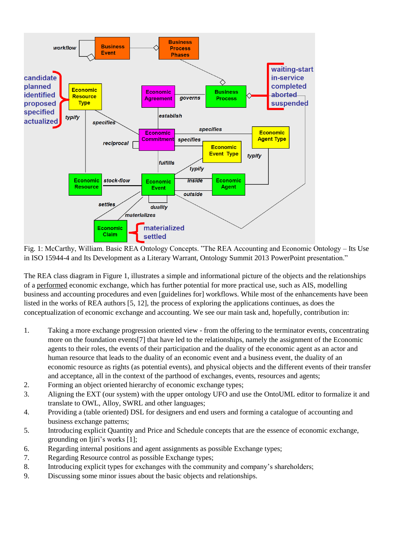

Fig. 1: McCarthy, William. Basic REA Ontology Concepts. "The REA Accounting and Economic Ontology – Its Use in ISO 15944-4 and Its Development as a Literary Warrant, Ontology Summit 2013 PowerPoint presentation."

The REA class diagram in Figure 1, illustrates a simple and informational picture of the objects and the relationships of a performed economic exchange, which has further potential for more practical use, such as AIS, modelling business and accounting procedures and even [guidelines for] workflows. While most of the enhancements have been listed in the works of REA authors [5, 12], the process of exploring the applications continues, as does the conceptualization of economic exchange and accounting. We see our main task and, hopefully, contribution in:

- 1. Taking a more exchange progression oriented view from the offering to the terminator events, concentrating more on the foundation events[7] that have led to the relationships, namely the assignment of the Economic agents to their roles, the events of their participation and the duality of the economic agent as an actor and human resource that leads to the duality of an economic event and a business event, the duality of an economic resource as rights (as potential events), and physical objects and the different events of their transfer and acceptance, all in the context of the parthood of exchanges, events, resources and agents;
- 2. Forming an object oriented hierarchy of economic exchange types;
- 3. Aligning the EXT (our system) with the upper ontology UFO and use the OntoUML editor to formalize it and translate to OWL, Alloy, SWRL and other languages;
- 4. Providing a (table oriented) DSL for designers and end users and forming a catalogue of accounting and business exchange patterns;
- 5. Introducing explicit Quantity and Price and Schedule concepts that are the essence of economic exchange, grounding on Ijiri's works [1];
- 6. Regarding internal positions and agent assignments as possible Exchange types;
- 7. Regarding Resource control as possible Exchange types;
- 8. Introducing explicit types for exchanges with the community and company's shareholders;
- 9. Discussing some minor issues about the basic objects and relationships.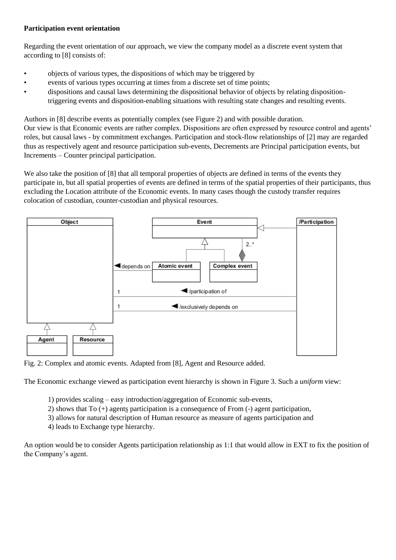# **Participation event orientation**

Regarding the event orientation of our approach, we view the company model as a discrete event system that according to [8] consists of:

- objects of various types, the dispositions of which may be triggered by
- events of various types occurring at times from a discrete set of time points;
- dispositions and causal laws determining the dispositional behavior of objects by relating dispositiontriggering events and disposition-enabling situations with resulting state changes and resulting events.

Authors in [8] describe events as potentially complex (see Figure 2) and with possible duration.

Our view is that Economic events are rather complex. Dispositions are often expressed by resource control and agents' roles, but causal laws - by commitment exchanges. Participation and stock-flow relationships of [2] may are regarded thus as respectively agent and resource participation sub-events, Decrements are Principal participation events, but Increments – Counter principal participation.

We also take the position of [8] that all temporal properties of objects are defined in terms of the events they participate in, but all spatial properties of events are defined in terms of the spatial properties of their participants, thus excluding the Location attribute of the Economic events. In many cases though the custody transfer requires colocation of custodian, counter-custodian and physical resources.



Fig. 2: Complex and atomic events. Adapted from [8], Agent and Resource added.

The Economic exchange viewed as participation event hierarchy is shown in Figure 3. Such a *uniform* view:

- 1) provides scaling easy introduction/aggregation of Economic sub-events,
- 2) shows that To (+) agents participation is a consequence of From (-) agent participation,
- 3) allows for natural description of Human resource as measure of agents participation and
- 4) leads to Exchange type hierarchy.

An option would be to consider Agents participation relationship as 1:1 that would allow in EXT to fix the position of the Company's agent.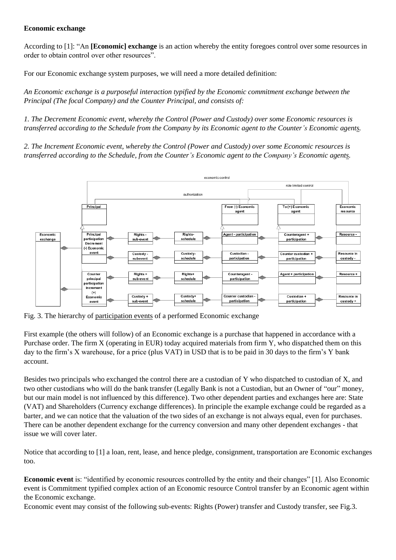### **Economic exchange**

According to [1]: "An **[Economic] exchange** is an action whereby the entity foregoes control over some resources in order to obtain control over other resources".

For our Economic exchange system purposes, we will need a more detailed definition:

*An Economic exchange is a purposeful interaction typified by the Economic commitment exchange between the Principal (The focal Company) and the Counter Principal, and consists of:*

*1. The Decrement Economic event, whereby the Control (Power and Custody) over some Economic resources is transferred according to the Schedule from the Company by its Economic agent to the Counter's Economic agents.* 

*2. The Increment Economic event, whereby the Control (Power and Custody) over some Economic resources is transferred according to the Schedule, from the Counter's Economic agent to the Company's Economic agents.*



Fig. 3. The hierarchy of participation events of a performed Economic exchange

First example (the others will follow) of an Economic exchange is a purchase that happened in accordance with a Purchase order. The firm X (operating in EUR) today acquired materials from firm Y, who dispatched them on this day to the firm's X warehouse, for a price (plus VAT) in USD that is to be paid in 30 days to the firm's Y bank account.

Besides two principals who exchanged the control there are a custodian of Y who dispatched to custodian of X, and two other custodians who will do the bank transfer (Legally Bank is not a Custodian, but an Owner of "our" money, but our main model is not influenced by this difference). Two other dependent parties and exchanges here are: State (VAT) and Shareholders (Currency exchange differences). In principle the example exchange could be regarded as a barter, and we can notice that the valuation of the two sides of an exchange is not always equal, even for purchases. There can be another dependent exchange for the currency conversion and many other dependent exchanges - that issue we will cover later.

Notice that according to [1] a loan, rent, lease, and hence pledge, consignment, transportation are Economic exchanges too.

**Economic event** is: "identified by economic resources controlled by the entity and their changes" [1]. Also Economic event is Commitment typified complex action of an Economic resource Control transfer by an Economic agent within the Economic exchange.

Economic event may consist of the following sub-events: Rights (Power) transfer and Custody transfer, see Fig.3.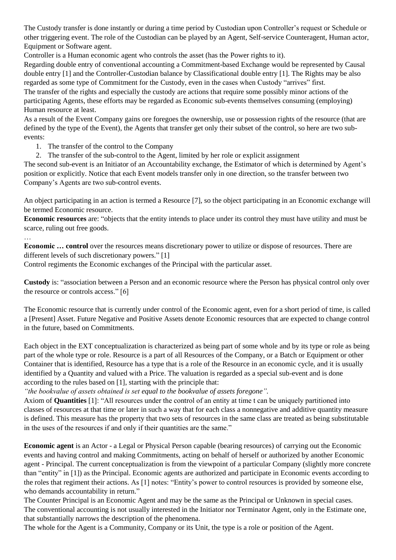The Custody transfer is done instantly or during a time period by Custodian upon Controller's request or Schedule or other triggering event. The role of the Custodian can be played by an Agent, Self-service Counteragent, Human actor, Equipment or Software agent.

Controller is a Human economic agent who controls the asset (has the Power rights to it).

Regarding double entry of conventional accounting a Commitment-based Exchange would be represented by Causal double entry [1] and the Controller-Custodian balance by Classificational double entry [1]. The Rights may be also regarded as some type of Commitment for the Custody, even in the cases when Custody "arrives" first.

The transfer of the rights and especially the custody are actions that require some possibly minor actions of the participating Agents, these efforts may be regarded as Economic sub-events themselves consuming (employing) Human resource at least.

As a result of the Event Company gains ore foregoes the ownership, use or possession rights of the resource (that are defined by the type of the Event), the Agents that transfer get only their subset of the control, so here are two subevents:

1. The transfer of the control to the Company

2. The transfer of the sub-control to the Agent, limited by her role or explicit assignment

The second sub-event is an Initiator of an Accountability exchange, the Estimator of which is determined by Agent's position or explicitly. Notice that each Event models transfer only in one direction, so the transfer between two Company's Agents are two sub-control events.

An object participating in an action is termed a Resource [7], so the object participating in an Economic exchange will be termed Economic resource.

**Economic resources** are: "objects that the entity intends to place under its control they must have utility and must be scarce, ruling out free goods.

…

**Economic … control** over the resources means discretionary power to utilize or dispose of resources. There are different levels of such discretionary powers." [1]

Control regiments the Economic exchanges of the Principal with the particular asset.

**Custody** is: "association between a Person and an economic resource where the Person has physical control only over the resource or controls access." [6]

The Economic resource that is currently under control of the Economic agent, even for a short period of time, is called a [Present] Asset. Future Negative and Positive Assets denote Economic resources that are expected to change control in the future, based on Commitments.

Each object in the EXT conceptualization is characterized as being part of some whole and by its type or role as being part of the whole type or role. Resource is a part of all Resources of the Company, or a Batch or Equipment or other Container that is identified, Resource has a type that is a role of the Resource in an economic cycle, and it is usually identified by a Quantity and valued with a Price. The valuation is regarded as a special sub-event and is done according to the rules based on [1], starting with the principle that:

*"the bookvalue of assets obtained is set equal to the bookvalue of assets foregone".*

Axiom of **Quantities** [1]: "All resources under the control of an entity at time t can be uniquely partitioned into classes of resources at that time or later in such a way that for each class a nonnegative and additive quantity measure is defined. This measure has the property that two sets of resources in the same class are treated as being substitutable in the uses of the resources if and only if their quantities are the same."

**Economic agent** is an Actor - a Legal or Physical Person capable (bearing resources) of carrying out the Economic events and having control and making Commitments, acting on behalf of herself or authorized by another Economic agent - Principal. The current conceptualization is from the viewpoint of a particular Company (slightly more concrete than "entity" in [1]) as the Principal. Economic agents are authorized and participate in Economic events according to the roles that regiment their actions. As [1] notes: "Entity's power to control resources is provided by someone else, who demands accountability in return."

The Counter Principal is an Economic Agent and may be the same as the Principal or Unknown in special cases. The conventional accounting is not usually interested in the Initiator nor Terminator Agent, only in the Estimate one, that substantially narrows the description of the phenomena.

The whole for the Agent is a Community, Company or its Unit, the type is a role or position of the Agent.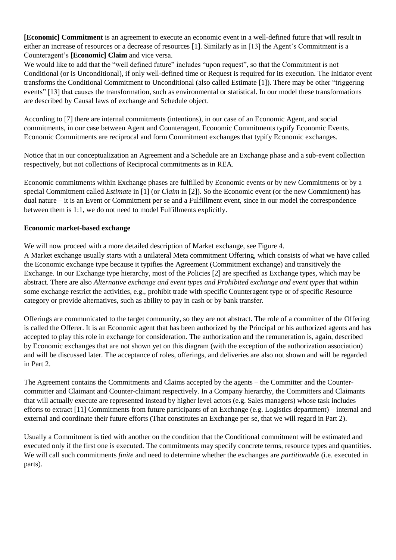**[Economic] Commitment** is an agreement to execute an economic event in a well-defined future that will result in either an increase of resources or a decrease of resources [1]. Similarly as in [13] the Agent's Commitment is a Counteragent's **[Economic] Claim** and vice versa.

We would like to add that the "well defined future" includes "upon request", so that the Commitment is not Conditional (or is Unconditional), if only well-defined time or Request is required for its execution. The Initiator event transforms the Conditional Commitment to Unconditional (also called Estimate [1]). There may be other "triggering events" [13] that causes the transformation, such as environmental or statistical. In our model these transformations are described by Causal laws of exchange and Schedule object.

According to [7] there are internal commitments (intentions), in our case of an Economic Agent, and social commitments, in our case between Agent and Counteragent. Economic Commitments typify Economic Events. Economic Commitments are reciprocal and form Commitment exchanges that typify Economic exchanges.

Notice that in our conceptualization an Agreement and a Schedule are an Exchange phase and a sub-event collection respectively, but not collections of Reciprocal commitments as in REA.

Economic commitments within Exchange phases are fulfilled by Economic events or by new Commitments or by a special Commitment called *Estimate* in [1] (or *Claim* in [2]). So the Economic event (or the new Commitment) has dual nature – it is an Event or Commitment per se and a Fulfillment event, since in our model the correspondence between them is 1:1, we do not need to model Fulfillments explicitly.

# **Economic market-based exchange**

We will now proceed with a more detailed description of Market exchange, see Figure 4.

A Market exchange usually starts with a unilateral Meta commitment Offering, which consists of what we have called the Economic exchange type because it typifies the Agreement (Commitment exchange) and transitively the Exchange. In our Exchange type hierarchy, most of the Policies [2] are specified as Exchange types, which may be abstract. There are also *Alternative exchange and event types and Prohibited exchange and event types* that within some exchange restrict the activities, e.g., prohibit trade with specific Counteragent type or of specific Resource category or provide alternatives, such as ability to pay in cash or by bank transfer.

Offerings are communicated to the target community, so they are not abstract. The role of a committer of the Offering is called the Offerer. It is an Economic agent that has been authorized by the Principal or his authorized agents and has accepted to play this role in exchange for consideration. The authorization and the remuneration is, again, described by Economic exchanges that are not shown yet on this diagram (with the exception of the authorization association) and will be discussed later. The acceptance of roles, offerings, and deliveries are also not shown and will be regarded in Part 2.

The Agreement contains the Commitments and Claims accepted by the agents – the Committer and the Countercommitter and Claimant and Counter-claimant respectively. In a Company hierarchy, the Committers and Claimants that will actually execute are represented instead by higher level actors (e.g. Sales managers) whose task includes efforts to extract [11] Commitments from future participants of an Exchange (e.g. Logistics department) – internal and external and coordinate their future efforts (That constitutes an Exchange per se, that we will regard in Part 2).

Usually a Commitment is tied with another on the condition that the Conditional commitment will be estimated and executed only if the first one is executed. The commitments may specify concrete terms, resource types and quantities. We will call such commitments *finite* and need to determine whether the exchanges are *partitionable* (i.e. executed in parts).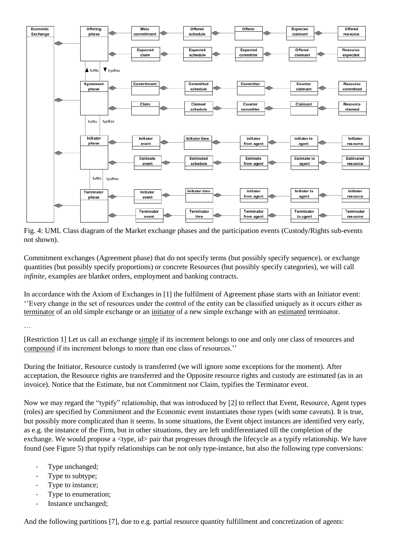

Fig. 4: UML Class diagram of the Market exchange phases and the participation events (Custody/Rights sub-events not shown).

Commitment exchanges (Agreement phase) that do not specify terms (but possibly specify sequence), or exchange quantities (but possibly specify proportions) or concrete Resources (but possibly specify categories), we will call *infinite*, examples are blanket orders, employment and banking contracts.

In accordance with the Axiom of Exchanges in [1] the fulfilment of Agreement phase starts with an Initiator event: ''Every change in the set of resources under the control of the entity can be classified uniquely as it occurs either as terminator of an old simple exchange or an initiator of a new simple exchange with an estimated terminator.

…

[Restriction 1] Let us call an exchange simple if its increment belongs to one and only one class of resources and compound if its increment belongs to more than one class of resources.''

During the Initiator, Resource custody is transferred (we will ignore some exceptions for the moment). After acceptation, the Resource rights are transferred and the Opposite resource rights and custody are estimated (as in an invoice). Notice that the Estimate, but not Commitment nor Claim, typifies the Terminator event.

Now we may regard the "typify" relationship, that was introduced by [2] to reflect that Event, Resource, Agent types (roles) are specified by Commitment and the Economic event instantiates those types (with some caveats). It is true, but possibly more complicated than it seems. In some situations, the Event object instances are identified very early, as e.g. the instance of the Firm, but in other situations, they are left undifferentiated till the completion of the exchange. We would propose a  $\langle$ type, id $\rangle$  pair that progresses through the lifecycle as a typify relationship. We have found (see Figure 5) that typify relationships can be not only type-instance, but also the following type conversions:

- Type unchanged;
- Type to subtype;
- Type to instance:
- Type to enumeration;
- Instance unchanged;

And the following partitions [7], due to e.g. partial resource quantity fulfillment and concretization of agents: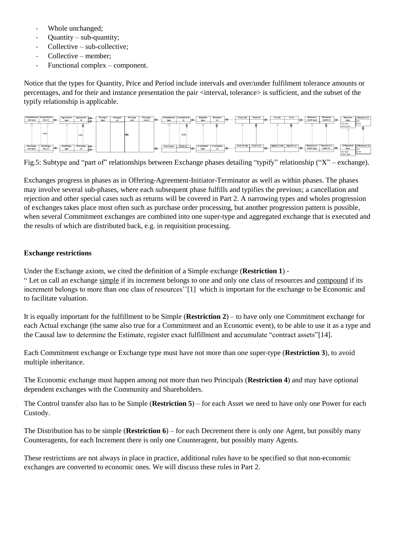- Whole unchanged;
- $Quantity sub-quantity;$
- $Collective sub-collective;$
- Collective member;
- Functional complex component.

Notice that the types for Quantity, Price and Period include intervals and over/under fulfilment tolerance amounts or percentages, and for their and instance presentation the pair <interval, tolerance> is sufficient, and the subset of the typify relationship is applicable.

| Commitment<br>doc type | Commitment<br>doc id | Agreement<br>type | Agreement      | Principal<br>type | Principal | Principal<br>role | Principal<br>role id | Commitment Commitment<br>type | id       | Schedule<br>type   | Schedule<br>id   | From role   | From id   | To role                   | To id | Resource<br>batch type | Resource<br>batch id              | Resource<br>type         | Resource id                        |
|------------------------|----------------------|-------------------|----------------|-------------------|-----------|-------------------|----------------------|-------------------------------|----------|--------------------|------------------|-------------|-----------|---------------------------|-------|------------------------|-----------------------------------|--------------------------|------------------------------------|
|                        | fulfils              |                   | fulfils        |                   |           |                   |                      |                               | fulfils  |                    |                  |             |           |                           |       |                        |                                   | -qty type<br>-price type | -orice                             |
| Exchange<br>doc type   | Exchange<br>doc id   | Exchange<br>type  | Exchange<br>id |                   |           |                   |                      | Event type                    | Event id | X schedule<br>type | X schedule<br>10 | From X role | From X id | Agent to role Agent to id |       | batch type             | Resource X Resource X<br>batch id | type<br>-qty type        | X Resource X Resource id<br>-orice |

Fig.5: Subtype and "part of" relationships between Exchange phases detailing "typify" relationship ("X" – exchange).

Exchanges progress in phases as in Offering-Agreement-Initiator-Terminator as well as within phases. The phases may involve several sub-phases, where each subsequent phase fulfills and typifies the previous; a cancellation and rejection and other special cases such as returns will be covered in Part 2. A narrowing types and wholes progression of exchanges takes place most often such as purchase order processing, but another progression pattern is possible, when several Commitment exchanges are combined into one super-type and aggregated exchange that is executed and the results of which are distributed back, e.g. in requisition processing.

# **Exchange restrictions**

Under the Exchange axiom, we cited the definition of a Simple exchange (**Restriction 1**) -

" Let us call an exchange simple if its increment belongs to one and only one class of resources and compound if its increment belongs to more than one class of resources''[1] which is important for the exchange to be Economic and to facilitate valuation.

It is equally important for the fulfillment to be Simple (**Restriction 2**) – to have only one Commitment exchange for each Actual exchange (the same also true for a Commitment and an Economic event), to be able to use it as a type and the Causal law to determine the Estimate, register exact fulfillment and accumulate "contract assets"[14].

Each Commitment exchange or Exchange type must have not more than one super-type (**Restriction 3**), to avoid multiple inheritance.

The Economic exchange must happen among not more than two Principals (**Restriction 4**) and may have optional dependent exchanges with the Community and Shareholders.

The Control transfer also has to be Simple (**Restriction 5**) – for each Asset we need to have only one Power for each Custody.

The Distribution has to be simple (**Restriction 6**) – for each Decrement there is only one Agent, but possibly many Counteragents, for each Increment there is only one Counteragent, but possibly many Agents.

These restrictions are not always in place in practice, additional rules have to be specified so that non-economic exchanges are converted to economic ones. We will discuss these rules in Part 2.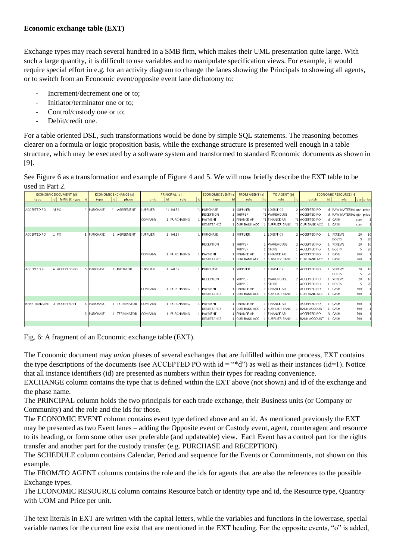# **Economic exchange table (EXT)**

Exchange types may reach several hundred in a SMB firm, which makes their UML presentation quite large. With such a large quantity, it is difficult to use variables and to manipulate specification views. For example, it would require special effort in e.g. for an activity diagram to change the lanes showing the Principals to showing all agents, or to switch from an Economic event/opposite event lane dichotomy to:

- Increment/decrement one or to:
- Initiator/terminator one or to:
- Control/custody one or to;
- Debit/credit one.

For a table oriented DSL, such transformations would be done by simple SQL statements. The reasoning becomes clearer on a formula or logic proposition basis, while the exchange structure is presented well enough in a table structure, which may be executed by a software system and transformed to standard Economic documents as shown in [9].

See Figure 6 as a transformation and example of Figure 4 and 5. We will now briefly describe the EXT table to be used in Part 2.

|                             | <b>ECONOMIC DOCUMENT (d)</b> |            | <b>ECONOMIC EXCHANGE (x)</b> | PRINCIPAL (p)   |    |              |    | <b>ECONOMIC EVENT (e</b> |    | <b>FROM AGENT (a)</b>  |      | TO AGENT (b)          |    | <b>ECONOMIC RESOURCE (r)</b> |              |                          |           |              |
|-----------------------------|------------------------------|------------|------------------------------|-----------------|----|--------------|----|--------------------------|----|------------------------|------|-----------------------|----|------------------------------|--------------|--------------------------|-----------|--------------|
| type                        | id <br>fulfils (f) type   id | type       | id<br>phase                  | unit            | id | role         | id | type                     | id | role                   | l id | role                  | id | batch                        | id           | role                     | qty price |              |
|                             |                              |            |                              |                 |    |              |    |                          |    |                        |      |                       |    |                              |              |                          |           |              |
| ACCEPTED PO                 | $*$ d PO                     | * PURCHASE | AGREEMENT                    | SUPPLIER        |    | *1 SALES     |    | *1 PURCHASE              |    | 1 SUPPLIER             |      | *1 LOGISTICS          |    | 2 ACCEPTED PO                |              | d RAW MATERIAL qty price |           |              |
|                             |                              |            |                              |                 |    |              |    | RECEPTION                |    | 1 SHIPPER              |      | *1 WAREHOUSE          |    | * ACCEPTED PO                |              | d RAW MATERIAL qty price |           |              |
|                             |                              |            |                              | COMPANY         |    | 1 PURCHASING |    | 1 PAYMENT                |    | 1 FINANCE AP           |      | *1 FINANCE AR         |    | *1 ACCEPTED PO               |              | d CASH                   | sum       | $\vert$ 1    |
|                             |                              |            |                              |                 |    |              |    | REMITTANCE               |    | 1 JOUR BANK ACC        |      | <b>ISUPPLIER BANK</b> |    | *1 OUR BANK ACC              |              | CASH                     | sum       | $\mathbf{1}$ |
|                             |                              |            |                              |                 |    |              |    |                          |    |                        |      |                       |    |                              |              |                          |           |              |
| ACCEPTED PO                 | 1 PO                         | 1 PURCHASE | 1 AGREEMENT                  | SUPPLIER        |    | 1 SALES      |    | 1 PURCHASE               |    | 1 SUPPLIER             |      | LOGISTICS             |    | 2 ACCEPTED PO                |              | SCREWS                   | 20        | 10           |
|                             |                              |            |                              |                 |    |              |    |                          |    |                        |      |                       |    |                              |              | <b>BOLTS</b>             | 5         | 20           |
|                             |                              |            |                              |                 |    |              |    | RECEPTION                |    | 1 SHIPPER              |      | 1 WAREHOUSE           |    | 2 ACCEPTED PO                |              | 1 SCREWS                 | 20        | 10           |
|                             |                              |            |                              |                 |    |              |    |                          |    | <b>SHIPPER</b>         |      | 1 STORE               |    | 1 ACCEPTED PO                |              | <b>BOLTS</b>             | 5         | 20           |
|                             |                              |            |                              | COMPANY         |    | 1 PURCHASING |    | 1 PAYMENT                |    | 1 FINANCE AP           |      | <b>FINANCE AR</b>     |    | 1 ACCEPTED PO                |              | CASH                     | 300       |              |
|                             |                              |            |                              |                 |    |              |    | <b>REMITTANCE</b>        |    | <b>1 JOUR BANK ACC</b> |      | <b>ISUPPLIER BANK</b> |    | 1 OUR BANK ACC               |              | CASH                     | 300       |              |
|                             |                              |            |                              |                 |    |              |    |                          |    |                        |      |                       |    |                              |              |                          |           |              |
| <b>ACCEPTED PI</b>          | 6 ACCEPTED PO                | 5 PURCHASE | 1 INITIATOR                  | <b>SUPPLIER</b> |    | 1 SALES      |    | 1 PURCHASE               |    | 1 SUPPLIER             |      | LOGISTICS             |    | 2 ACCEPTED PO                |              | 1 SCREWS                 | 20        | 10           |
|                             |                              |            |                              |                 |    |              |    |                          |    |                        |      |                       |    |                              |              | <b>BOLTS</b>             | 5         | 20           |
|                             |                              |            |                              |                 |    |              |    | <b>RECEPTION</b>         |    | 1 SHIPPER              |      | 1 WAREHOUSE           |    | 2 ACCEPTED PO                |              | 1 SCREWS                 | 20        | 10           |
|                             |                              |            |                              |                 |    |              |    |                          |    | <b>SHIPPER</b>         |      | 1 STORE               |    | 1 ACCEPTED PO                |              | 1 BOLTS                  | 5.        | 20           |
|                             |                              |            |                              | COMPANY         |    | 1 PURCHASING |    | 1 PAYMENT                |    | 1 FINANCE AP           |      | <b>FINANCE AR</b>     |    | 1 ACCEPTED PO                | $\mathbf{1}$ | CASH                     | 300       |              |
|                             |                              |            |                              |                 |    |              |    | REMITTANCE               |    | 1 JOUR BANK ACC        |      | <b>SUPPLIER BANK</b>  |    | 1 OUR BANK ACC               | -1.          | CASH                     | 300       |              |
|                             |                              |            |                              |                 |    |              |    |                          |    |                        |      |                       |    |                              |              |                          |           |              |
| BANK TRANSFER 3 ACCEPTED PI |                              | 6 PURCHASE | 1 TERMINATOR                 | COMPANY         |    | 1 PURCHASING |    | PAYMENT                  |    | 1 FINANCE AP           |      | <b>FINANCE AR</b>     |    | 1 ACCEPTED PO                |              | CASH                     | 300       |              |
|                             |                              |            |                              |                 |    |              |    | REMITTANCE               |    | 1 OUR BANK ACC         |      | <b>SUPPLIER BANK</b>  |    | 1 BANK ACCOUNT               |              | CASH                     | 300       |              |
|                             |                              | 8 PURCHASE | 1 TERMINATOR                 | COMPANY         |    | 1 PURCHASING |    | 1 PAYMENT                |    | 1 FINANCE AP           |      | <b>FINANCE AR</b>     |    | 1 ACCEPTED PO                |              | 3 CASH                   | 500       |              |
|                             |                              |            |                              |                 |    |              |    | REMITTANCE               |    | 1 JOUR BANK ACC        |      | <b>SUPPLIER BANK</b>  |    | 1 BANK ACCOUNT               |              | 1 CASH                   | 500       |              |
|                             |                              |            |                              |                 |    |              |    |                          |    |                        |      |                       |    |                              |              |                          |           |              |

Fig. 6: A fragment of an Economic exchange table (EXT).

The Economic document may *union* phases of several exchanges that are fulfilled within one process, EXT contains the type descriptions of the documents (see ACCEPTED PO with  $id =$ "\*d") as well as their instances (id=1). Notice that all instance identifiers (id) are presented as numbers within their types for reading convenience.

EXCHANGE column contains the type that is defined within the EXT above (not shown) and id of the exchange and the phase name.

The PRINCIPAL column holds the two principals for each trade exchange, their Business units (or Company or Community) and the role and the ids for those.

The ECONOMIC EVENT column contains event type defined above and an id. As mentioned previously the EXT may be presented as two Event lanes – adding the Opposite event or Custody event, agent, counteragent and resource to its heading, or form some other user preferable (and updateable) view. Each Event has a control part for the rights transfer and another part for the custody transfer (e.g. PURCHASE and RECEPTION).

The SCHEDULE column contains Calendar, Period and sequence for the Events or Commitments, not shown on this example.

The FROM/TO AGENT columns contains the role and the ids for agents that are also the references to the possible Exchange types.

The ECONOMIC RESOURCE column contains Resource batch or identity type and id, the Resource type, Quantity with UOM and Price per unit.

The text literals in EXT are written with the capital letters, while the variables and functions in the lowercase, special variable names for the current line exist that are mentioned in the EXT heading. For the opposite events, "o" is added,